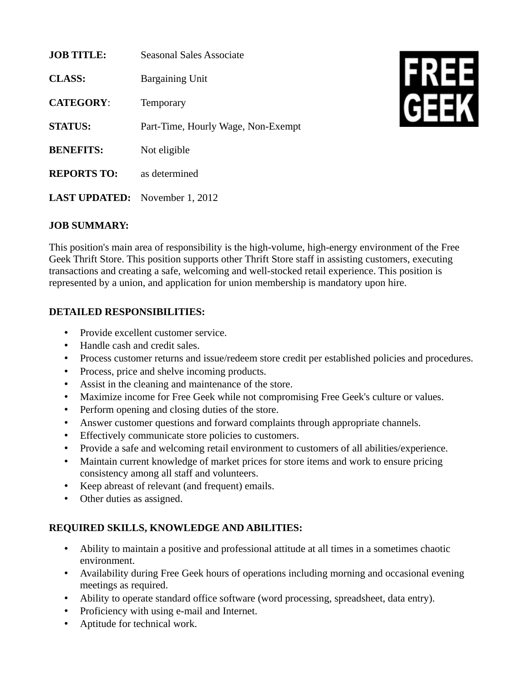| <b>JOB TITLE:</b>    | Seasonal Sales Associate           |
|----------------------|------------------------------------|
| <b>CLASS:</b>        | Bargaining Unit                    |
| <b>CATEGORY:</b>     | Temporary                          |
| <b>STATUS:</b>       | Part-Time, Hourly Wage, Non-Exempt |
| <b>BENEFITS:</b>     | Not eligible                       |
| <b>REPORTS TO:</b>   | as determined                      |
| <b>LAST UPDATED:</b> | November 1, 2012                   |



## **JOB SUMMARY:**

This position's main area of responsibility is the high-volume, high-energy environment of the Free Geek Thrift Store. This position supports other Thrift Store staff in assisting customers, executing transactions and creating a safe, welcoming and well-stocked retail experience. This position is represented by a union, and application for union membership is mandatory upon hire.

## **DETAILED RESPONSIBILITIES:**

- Provide excellent customer service.
- Handle cash and credit sales.
- Process customer returns and issue/redeem store credit per established policies and procedures.
- Process, price and shelve incoming products.
- Assist in the cleaning and maintenance of the store.
- Maximize income for Free Geek while not compromising Free Geek's culture or values.
- Perform opening and closing duties of the store.
- Answer customer questions and forward complaints through appropriate channels.
- Effectively communicate store policies to customers.
- Provide a safe and welcoming retail environment to customers of all abilities/experience.
- Maintain current knowledge of market prices for store items and work to ensure pricing consistency among all staff and volunteers.
- Keep abreast of relevant (and frequent) emails.
- Other duties as assigned.

## **REQUIRED SKILLS, KNOWLEDGE AND ABILITIES:**

- Ability to maintain a positive and professional attitude at all times in a sometimes chaotic environment.
- Availability during Free Geek hours of operations including morning and occasional evening meetings as required.
- Ability to operate standard office software (word processing, spreadsheet, data entry).
- Proficiency with using e-mail and Internet.
- Aptitude for technical work.